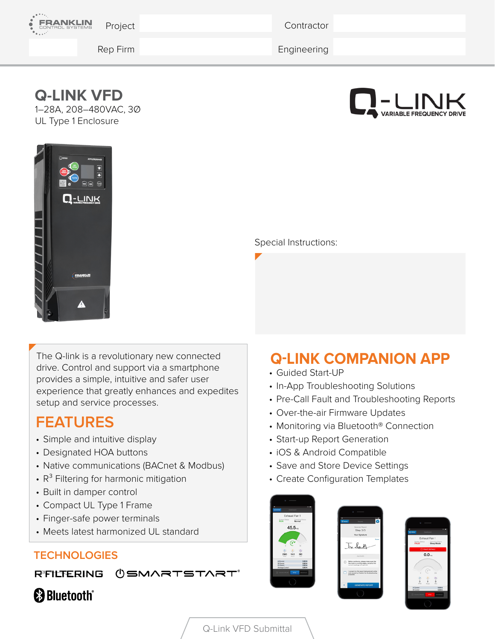

**Contractor** 

Rep Firm Engineering

## **Q-LINK VFD**

1–28A, 208–480VAC, 3Ø UL Type 1 Enclosure





#### Special Instructions:

The Q-link is a revolutionary new connected drive. Control and support via a smartphone provides a simple, intuitive and safer user experience that greatly enhances and expedites setup and service processes.

## **FEATURES**

- Simple and intuitive display
- Designated HOA buttons
- Native communications (BACnet & Modbus)
- $R^3$  Filtering for harmonic mitigation
- Built in damper control
- Compact UL Type 1 Frame
- Finger-safe power terminals
- Meets latest harmonized UL standard

#### **TECHNOLOGIES**

RFILTERING **USMARTSTART**®

## **&Bluetooth®**

# **Q-LINK COMPANION APP**

- Guided Start-UP
- In-App Troubleshooting Solutions
- Pre-Call Fault and Troubleshooting Reports
- Over-the-air Firmware Updates
- Monitoring via Bluetooth<sup>®</sup> Connection
- Start-up Report Generation
- iOS & Android Compatible
- Save and Store Device Settings
- Create Configuration Templates







Q-Link VFD Submittal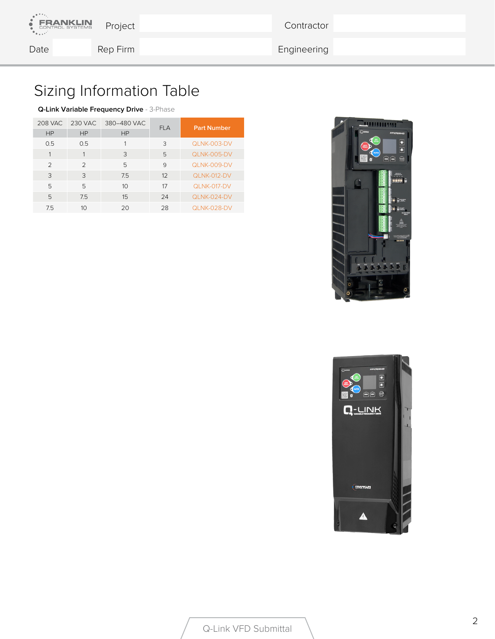**Contractor** 

**ANKLIN** 

Date Rep Firm Rep Firm Engineering

# Sizing Information Table

#### **Q-Link Variable Frequency Drive** - 3-Phase

| 208 VAC       | 230 VAC        | 380-480 VAC | <b>FLA</b> | <b>Part Number</b> |  |
|---------------|----------------|-------------|------------|--------------------|--|
| HP            | HP             | HP          |            |                    |  |
| 0.5           | 0.5            |             | 3          | <b>QLNK-003-DV</b> |  |
|               |                | 3           | 5          | QLNK-005-DV        |  |
| $\mathcal{P}$ | $\mathcal{P}$  | 5           | 9          | QLNK-009-DV        |  |
| 3             | 3              | 7.5         | 12         | QLNK-012-DV        |  |
| 5             | 5              | 10          | 17         | QLNK-017-DV        |  |
| 5             | 7.5            | 15          | 24         | $QLNK-024-DV$      |  |
| 7.5           | 1 <sup>O</sup> | 20          | 28         | QLNK-028-DV        |  |



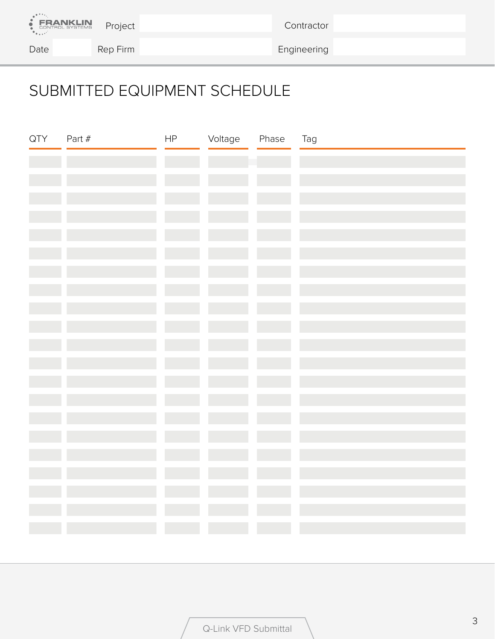

**Contractor** 

Date Rep Firm Rep Firm Engineering

# SUBMITTED EQUIPMENT SCHEDULE

| QTY | Part $#$ | HP | Voltage | Phase | Tag |
|-----|----------|----|---------|-------|-----|
|     |          |    |         |       |     |
|     |          |    |         |       |     |
|     |          |    |         |       |     |
|     |          |    |         |       |     |
|     |          |    |         |       |     |
|     |          |    |         |       |     |
|     |          |    |         |       |     |
|     |          |    |         |       |     |
|     |          |    |         |       |     |
|     |          |    |         |       |     |
|     |          |    |         |       |     |
|     |          |    |         |       |     |
|     |          |    |         |       |     |
|     |          |    |         |       |     |
|     |          |    |         |       |     |
|     |          |    |         |       |     |
|     |          |    |         |       |     |
|     |          |    |         |       |     |
|     |          |    |         |       |     |
|     |          |    |         |       |     |
|     |          |    |         |       |     |
|     |          |    |         |       |     |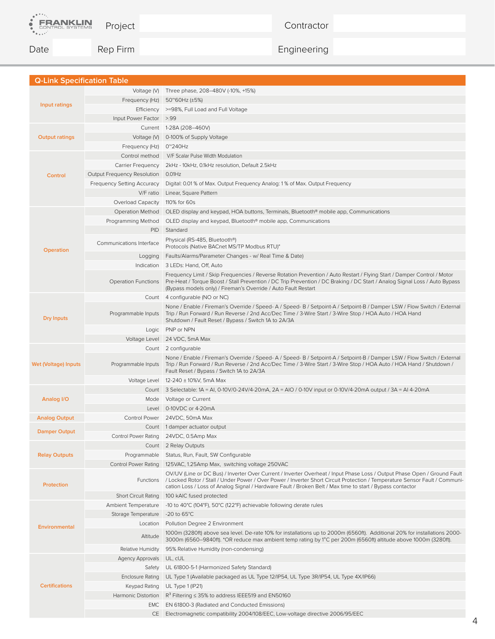

**Contractor** 

Date Rep Firm Rep Firm Engineering

| <b>Q-Link Specification Table</b> |                                  |                                                                                                                                                                                                                                                                                                                                                                                |
|-----------------------------------|----------------------------------|--------------------------------------------------------------------------------------------------------------------------------------------------------------------------------------------------------------------------------------------------------------------------------------------------------------------------------------------------------------------------------|
|                                   |                                  | Voltage (V) Three phase, 208–480V (-10%, +15%)                                                                                                                                                                                                                                                                                                                                 |
|                                   | Frequency (Hz)                   | 50~60Hz (±5%)                                                                                                                                                                                                                                                                                                                                                                  |
| Input ratings                     |                                  | Efficiency >=98%, Full Load and Full Voltage                                                                                                                                                                                                                                                                                                                                   |
|                                   | Input Power Factor >.99          |                                                                                                                                                                                                                                                                                                                                                                                |
|                                   |                                  | Current   1-28A (208-460V)                                                                                                                                                                                                                                                                                                                                                     |
|                                   |                                  |                                                                                                                                                                                                                                                                                                                                                                                |
| <b>Output ratings</b>             |                                  | Voltage (V) 0-100% of Supply Voltage                                                                                                                                                                                                                                                                                                                                           |
|                                   | Frequency (Hz)                   | 0 <sup>~</sup> 240Hz                                                                                                                                                                                                                                                                                                                                                           |
|                                   | Control method                   | V/F Scalar Pulse Width Modulation                                                                                                                                                                                                                                                                                                                                              |
|                                   | Carrier Frequency                | 2kHz - 10kHz, 0.1kHz resolution, Default 2.5kHz                                                                                                                                                                                                                                                                                                                                |
| Control                           | Output Frequency Resolution      | 0.01Hz                                                                                                                                                                                                                                                                                                                                                                         |
|                                   | Frequency Setting Accuracy       | Digital: 0.01 % of Max. Output Frequency Analog: 1 % of Max. Output Frequency                                                                                                                                                                                                                                                                                                  |
|                                   | V/F ratio                        | Linear, Square Pattern                                                                                                                                                                                                                                                                                                                                                         |
|                                   | Overload Capacity   110% for 60s |                                                                                                                                                                                                                                                                                                                                                                                |
|                                   |                                  | Operation Method OLED display and keypad, HOA buttons, Terminals, Bluetooth® mobile app, Communications                                                                                                                                                                                                                                                                        |
|                                   |                                  | Programming Method  OLED display and keypad, Bluetooth® mobile app, Communications                                                                                                                                                                                                                                                                                             |
|                                   | <b>PID</b>                       | Standard                                                                                                                                                                                                                                                                                                                                                                       |
|                                   | Communications Interface         | Physical (RS-485, Bluetooth®)                                                                                                                                                                                                                                                                                                                                                  |
| <b>Operation</b>                  |                                  | Protocols (Native BACnet MS/TP Modbus RTU)"                                                                                                                                                                                                                                                                                                                                    |
|                                   | Logging                          | Faults/Alarms/Parameter Changes - w/ Real Time & Date)                                                                                                                                                                                                                                                                                                                         |
|                                   |                                  | Indication 3 LEDs: Hand, Off, Auto                                                                                                                                                                                                                                                                                                                                             |
|                                   | <b>Operation Functions</b>       | Frequency Limit / Skip Frequencies / Reverse Rotation Prevention / Auto Restart / Flying Start / Damper Control / Motor<br>Pre-Heat / Torque Boost / Stall Prevention / DC Trip Prevention / DC Braking / DC Start / Analog Signal Loss / Auto Bypass<br>(Bypass models only) / Fireman's Override / Auto Fault Restart                                                        |
|                                   |                                  | Count   4 configurable (NO or NC)                                                                                                                                                                                                                                                                                                                                              |
| <b>Dry Inputs</b>                 | Programmable Inputs              | None / Enable / Fireman's Override / Speed- A / Speed- B / Setpoint-A / Setpoint-B / Damper LSW / Flow Switch / External<br>Trip / Run Forward / Run Reverse / 2nd Acc/Dec Time / 3-Wire Start / 3-Wire Stop / HOA Auto / HOA Hand<br>Shutdown / Fault Reset / Bypass / Switch 1A to 2A/3A                                                                                     |
|                                   |                                  | Logic PNP or NPN                                                                                                                                                                                                                                                                                                                                                               |
|                                   |                                  | Voltage Level 24 VDC, 5mA Max                                                                                                                                                                                                                                                                                                                                                  |
|                                   |                                  | Count 2 configurable                                                                                                                                                                                                                                                                                                                                                           |
| <b>Wet (Voltage) Inputs</b>       | Programmable Inputs              | None / Enable / Fireman's Override / Speed- A / Speed- B / Setpoint-A / Setpoint-B / Damper LSW / Flow Switch / External<br>Trip / Run Forward / Run Reverse / 2nd Acc/Dec Time / 3-Wire Start / 3-Wire Stop / HOA Auto / HOA Hand / Shutdown /<br>Fault Reset / Bypass / Switch 1A to 2A/3A                                                                                   |
|                                   |                                  | Voltage Level 12-240 ± 10%V, 5mA Max                                                                                                                                                                                                                                                                                                                                           |
|                                   |                                  | Count 3 Selectable: 1A = AI, 0-10V/0-24V/4-20mA, 2A = AIO / 0-10V input or 0-10V/4-20mA output / 3A = AI 4-20mA                                                                                                                                                                                                                                                                |
| Analog I/O                        |                                  | Mode   Voltage or Current                                                                                                                                                                                                                                                                                                                                                      |
|                                   |                                  | Level 0-10VDC or 4-20mA                                                                                                                                                                                                                                                                                                                                                        |
| <b>Analog Output</b>              |                                  | Control Power 24VDC, 50mA Max                                                                                                                                                                                                                                                                                                                                                  |
|                                   |                                  | Count 1 damper actuator output                                                                                                                                                                                                                                                                                                                                                 |
| <b>Damper Output</b>              |                                  | Control Power Rating 24VDC, 0.5Amp Max                                                                                                                                                                                                                                                                                                                                         |
|                                   |                                  | Count 2 Relay Outputs                                                                                                                                                                                                                                                                                                                                                          |
| <b>Relay Outputs</b>              | Programmable                     | Status, Run, Fault, SW Configurable                                                                                                                                                                                                                                                                                                                                            |
|                                   | Control Power Rating             | 125VAC, 1.25Amp Max, switching voltage 250VAC                                                                                                                                                                                                                                                                                                                                  |
| Protection                        |                                  | OV/UV (Line or DC Bus) / Inverter Over Current / Inverter Overheat / Input Phase Loss / Output Phase Open / Ground Fault<br>Functions / Locked Rotor / Stall / Under Power / Over Power / Inverter Short Circuit Protection / Temperature Sensor Fault / Communi-<br>cation Loss / Loss of Analog Signal / Hardware Fault / Broken Belt / Max time to start / Bypass contactor |
|                                   | <b>Short Circuit Rating</b>      | 100 kAIC fused protected                                                                                                                                                                                                                                                                                                                                                       |
|                                   | Ambient Temperature              | -10 to 40°C (104°F), 50°C (122°F) achievable following derate rules                                                                                                                                                                                                                                                                                                            |
| <b>Environmental</b>              | Storage Temperature              | -20 to $65^{\circ}$ C                                                                                                                                                                                                                                                                                                                                                          |
|                                   | Location                         | Pollution Degree 2 Environment                                                                                                                                                                                                                                                                                                                                                 |
|                                   | Altitude                         | 1000m (3280ft) above sea level. De-rate 10% for installations up to 2000m (6560ft). Additional 20% for installations 2000-<br>3000m (6560–9840ft). *OR reduce max ambient temp rating by 1°C per 200m (6560ft) altitude above 1000m (3280ft).                                                                                                                                  |
|                                   | Relative Humidity                | 95% Relative Humidity (non-condensing)                                                                                                                                                                                                                                                                                                                                         |
| <b>Certifications</b>             | Agency Approvals                 | UL, cUL                                                                                                                                                                                                                                                                                                                                                                        |
|                                   |                                  | Safety UL 61800-5-1 (Harmonized Safety Standard)                                                                                                                                                                                                                                                                                                                               |
|                                   | Enclosure Rating                 | UL Type 1 (Available packaged as UL Type 12/IP54, UL Type 3R/IP54, UL Type 4X/IP66)                                                                                                                                                                                                                                                                                            |
|                                   | Keypad Rating                    | UL Type 1 (IP21)                                                                                                                                                                                                                                                                                                                                                               |
|                                   | Harmonic Distortion              | $R^3$ Filtering $\leq$ 35% to address IEEE519 and EN50160                                                                                                                                                                                                                                                                                                                      |
|                                   |                                  | EMC EN 61800-3 (Radiated and Conducted Emissions)                                                                                                                                                                                                                                                                                                                              |
|                                   |                                  | CE Electromagnetic compatibility 2004/108/EEC, Low-voltage directive 2006/95/EEC                                                                                                                                                                                                                                                                                               |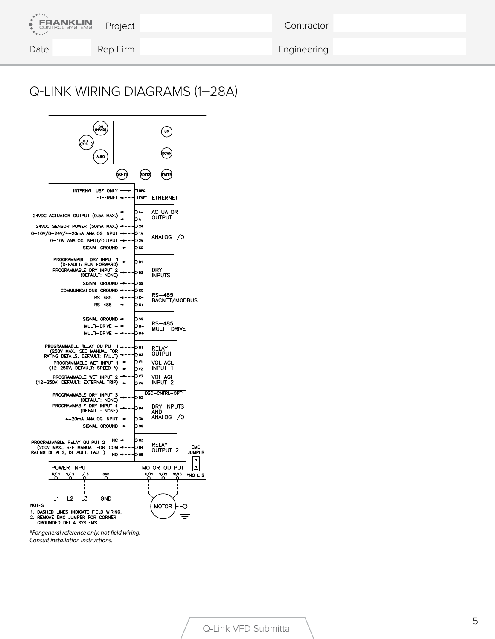| <b>ERANKLIN</b> | Project  | Contractor  |  |
|-----------------|----------|-------------|--|
| Date            | Rep Firm | Engineering |  |

### Q-LINK WIRING DIAGRAMS (1–28A)



*\*For general reference only, not field wiring. Consult installation instructions.*